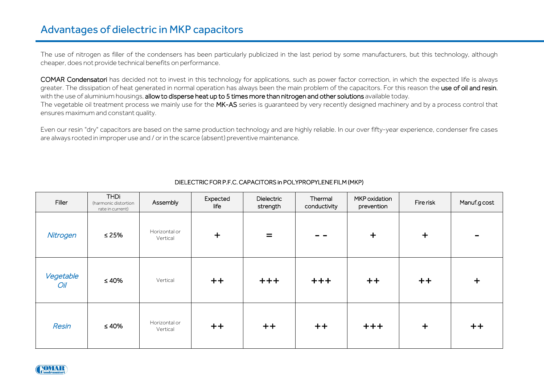## Advantages of dielectric in MKP capacitors

The use of nitrogen as filler of the condensers has been particularly publicized in the last period by some manufacturers, but this technology, although cheaper, does not provide technical benefits on performance.

COMAR Condensatori has decided not to invest in this technology for applications, such as power factor correction, in which the expected life is always greater. The dissipation of heat generated in normal operation has always been the main problem of the capacitors. For this reason the use of oil and resin, with the use of aluminium housings, allow to disperse heat up to 5 times more than nitrogen and other solutions available today. The vegetable oil treatment process we mainly use for the MK-AS series is guaranteed by very recently designed machinery and by a process control that ensures maximum and constant quality.

Even our resin "dry" capacitors are based on the same production technology and are highly reliable. In our over fifty-year experience, condenser fire cases are always rooted in improper use and / or in the scarce (absent) preventive maintenance.

| Filler           | <b>THDi</b><br>(harmonic distortion<br>rate in current) | Assembly                  | Expected<br>life | Dielectric<br>strength | Thermal<br>conductivity | MKP oxidation<br>prevention | Fire risk | Manuf.g cost             |
|------------------|---------------------------------------------------------|---------------------------|------------------|------------------------|-------------------------|-----------------------------|-----------|--------------------------|
| Nitrogen         | $≤ 25%$                                                 | Horizontal or<br>Vertical | $+$              | $=$                    |                         | $\ddot{}$                   | $+$       | $\overline{\phantom{0}}$ |
| Vegetable<br>Oil | $\leq 40\%$                                             | Vertical                  | $++$             | $+ + + +$              | $+++$                   | $++$                        | $++$      | $+$                      |
| Resin            | $\leq 40\%$                                             | Horizontal or<br>Vertical | $++$             | $++$                   | $+ +$                   | $+++$                       | $+$       | $+ +$                    |

## DIELECTRIC FOR P.F.C. CAPACITORS in POLYPROPYLENE FILM (MKP)